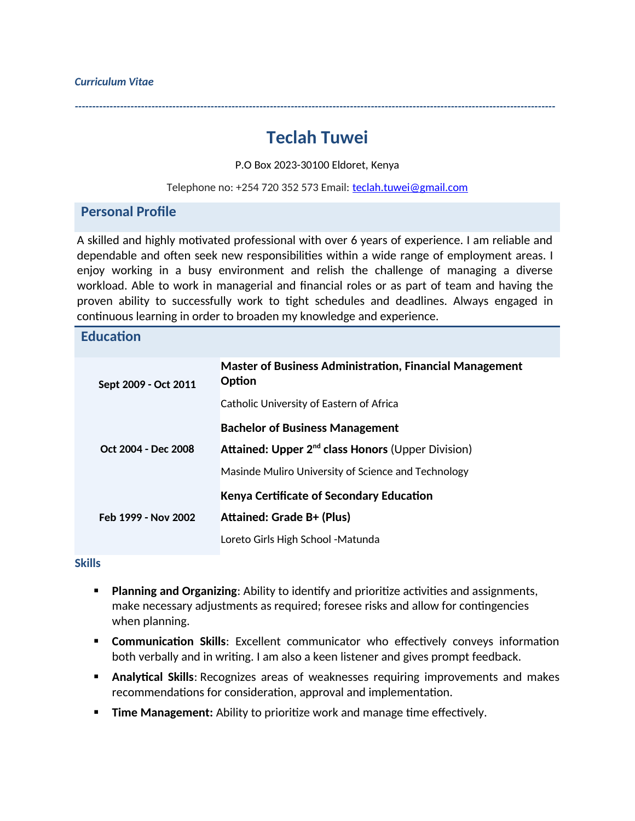# **Teclah Tuwei**

*------------------------------------------------------------------------------------------------------------------------------------------*

P.O Box 2023-30100 Eldoret, Kenya

Telephone no: +254 720 352 573 Email: [teclah.tuwei@gmail.com](mailto:teclah.tuwei@gmail.com)

### **Personal Profile**

A skilled and highly motivated professional with over 6 years of experience. I am reliable and dependable and often seek new responsibilities within a wide range of employment areas. I enjoy working in a busy environment and relish the challenge of managing a diverse workload. Able to work in managerial and financial roles or as part of team and having the proven ability to successfully work to tight schedules and deadlines. Always engaged in continuous learning in order to broaden my knowledge and experience.

#### **Education**

| Sept 2009 - Oct 2011 | <b>Master of Business Administration, Financial Management</b><br>Option |
|----------------------|--------------------------------------------------------------------------|
|                      | Catholic University of Eastern of Africa                                 |
| Oct 2004 - Dec 2008  | <b>Bachelor of Business Management</b>                                   |
|                      | Attained: Upper 2 <sup>nd</sup> class Honors (Upper Division)            |
|                      | Masinde Muliro University of Science and Technology                      |
| Feb 1999 - Nov 2002  | <b>Kenya Certificate of Secondary Education</b>                          |
|                      | <b>Attained: Grade B+ (Plus)</b>                                         |
|                      | Loreto Girls High School - Matunda                                       |

#### **Skills**

- **Planning and Organizing:** Ability to identify and prioritize activities and assignments, make necessary adjustments as required; foresee risks and allow for contingencies when planning.
- **Communication Skills**: Excellent communicator who effectively conveys information both verbally and in writing. I am also a keen listener and gives prompt feedback.
- **Analytical Skills: Recognizes areas of weaknesses requiring improvements and makes** recommendations for consideration, approval and implementation.
- **Time Management:** Ability to prioritize work and manage time effectively.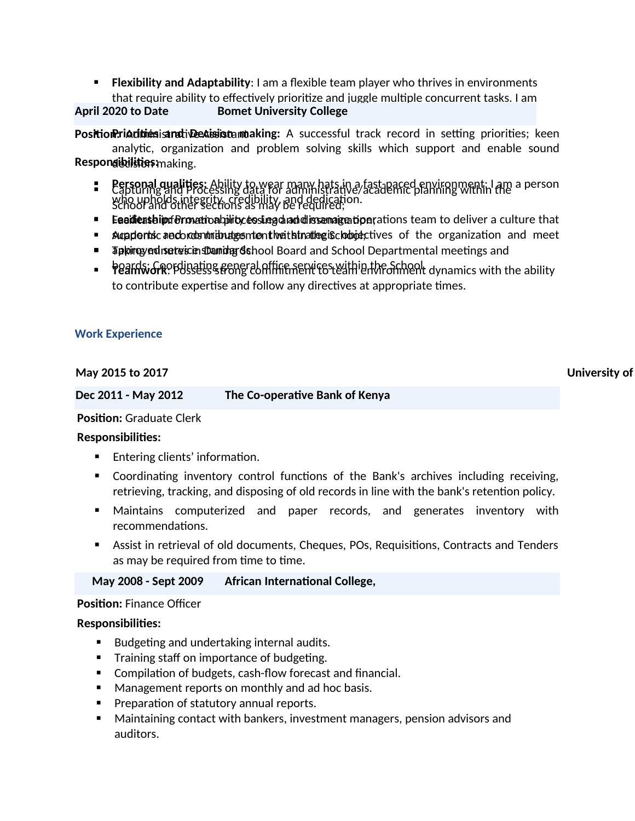**Flexibility and Adaptability**: I am a flexible team player who thrives in environments that require ability to effectively prioritize and juggle multiple concurrent tasks. I am

## April 2020 to Date **Bomet University College**

**Position:riadiniesisandiveeaisiistannaking:** A successful track record in setting priorities; keen analytic, organization and problem solving skills which support and enable sound **Respongibilities: making.** 

- **Expropal qualities:** Ability to wear many hats in a fast-paced environment; I am a person<br>**Expropriate and Processing data for administrative/academic planning within the** a person who upholds integrity, credibility, and dedication. School and other sections as may be required;
- **Eaailieas bip:** *ferove***tion ability to superal and dissemage tipe** rations team to deliver a culture that
- **Bupports and contributes in the interport of the organization and meet**
- Tapping yendiset wiscien sthanding School Board and School Departmental meetings and
- **Peards; GROP Bissess & COOR CONTRIGHTS CONTRIGUTER** dynamics with the ability to contribute expertise and follow any directives at appropriate times.

### **Work Experience**

#### **May 2015 to 2017 University of Kabiangalog Science 2017 University of Kabiangalog Science 2017**

| Dec 2011 - May 2012 | The Co-operative Bank of Kenya |
|---------------------|--------------------------------|
|---------------------|--------------------------------|

**Position:** Graduate Clerk

#### **Responsibilities:**

- **Entering clients' information.**
- Coordinating inventory control functions of the Bank's archives including receiving, retrieving, tracking, and disposing of old records in line with the bank's retention policy.
- Maintains computerized and paper records, and generates inventory with recommendations.
- Assist in retrieval of old documents, Cheques, POs, Requisitions, Contracts and Tenders as may be required from time to time.

**May 2008 - Sept 2009 African International College,** 

#### **Position:** Finance Officer

#### **Responsibilities:**

- Budgeting and undertaking internal audits.
- **Training staff on importance of budgeting.**
- Compilation of budgets, cash-flow forecast and financial.
- Management reports on monthly and ad hoc basis.
- **Preparation of statutory annual reports.**
- Maintaining contact with bankers, investment managers, pension advisors and auditors.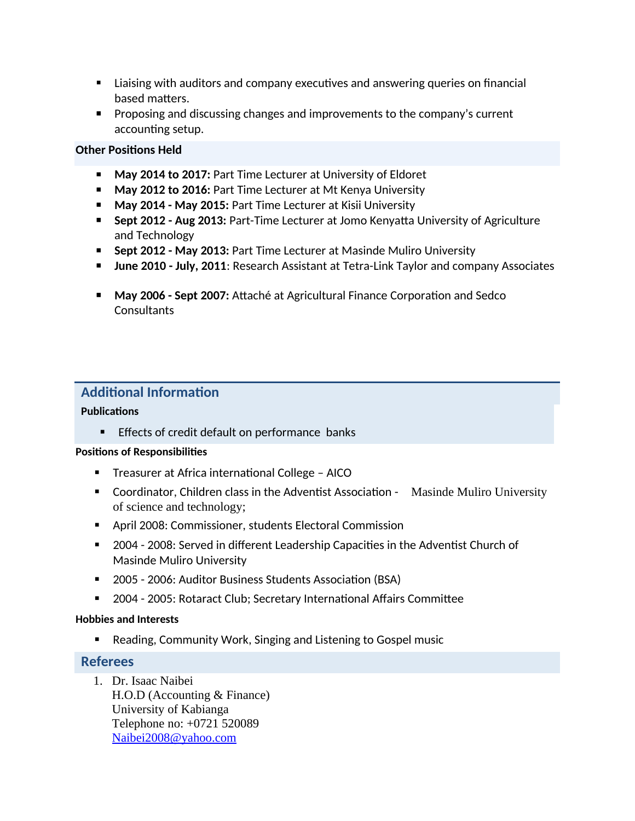- **E** Liaising with auditors and company executives and answering queries on financial based matters.
- **Proposing and discussing changes and improvements to the company's current** accounting setup.

### **Other Positions Held**

- **May 2014 to 2017: Part Time Lecturer at University of Eldoret**
- **May 2012 to 2016: Part Time Lecturer at Mt Kenya University**
- **May 2014 May 2015: Part Time Lecturer at Kisii University**
- **Sept 2012 Aug 2013:** Part-Time Lecturer at Jomo Kenyatta University of Agriculture and Technology
- **Sept 2012 May 2013: Part Time Lecturer at Masinde Muliro University**
- **June 2010 July, 2011**: Research Assistant at Tetra-Link Taylor and company Associates
- **May 2006 Sept 2007:** Attaché at Agricultural Finance Corporation and Sedco **Consultants**

# **Additional Information**

### **Publications**

**Effects of credit default on performance banks** 

### **Positions of Responsibilities**

- Treasurer at Africa international College AICO
- Coordinator, Children class in the Adventist Association Masinde Muliro University of science and technology;
- April 2008: Commissioner, students Electoral Commission
- 2004 2008: Served in different Leadership Capacities in the Adventist Church of Masinde Muliro University
- 2005 2006: Auditor Business Students Association (BSA)
- 2004 2005: Rotaract Club; Secretary International Affairs Committee

### **Hobbies and Interests**

■ Reading, Community Work, Singing and Listening to Gospel music

# **Referees**

1. Dr. Isaac Naibei H.O.D (Accounting & Finance) University of Kabianga Telephone no: +0721 520089 [Naibei2008@yahoo.com](mailto:Naibei2008@yahoo.com)